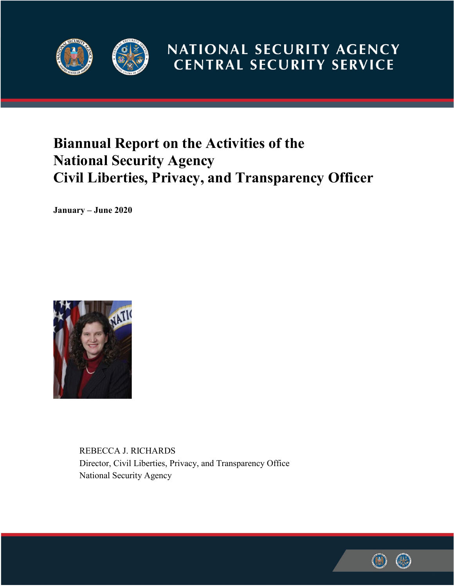

# NATIONAL SECURITY AGENCY **CENTRAL SECURITY SERVICE**

# **Biannual Report on the Activities of the National Security Agency Civil Liberties, Privacy, and Transparency Officer**

**January – June 2020**



REBECCA J. RICHARDS Director, Civil Liberties, Privacy, and Transparency Office National Security Agency

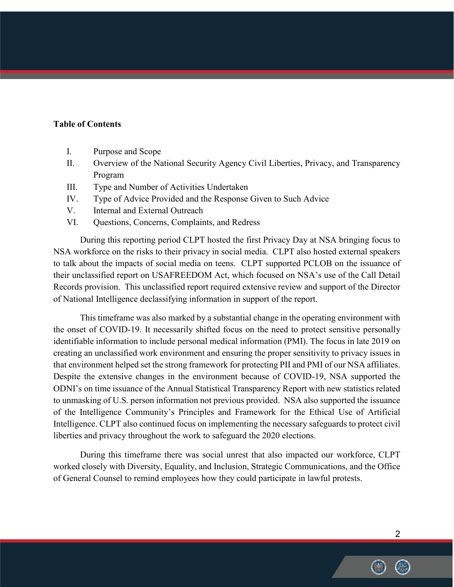## **Table of Contents**

- I. Purpose and Scope
- II. Overview of the National Security Agency Civil Liberties, Privacy, and Transparency Program
- III. Type and Number of Activities Undertaken
- IV. Type of Advice Provided and the Response Given to Such Advice
- V. Internal and External Outreach
- VI. Questions, Concerns, Complaints, and Redress

During this reporting period CLPT hosted the first Privacy Day at NSA bringing focus to NSA workforce on the risks to their privacy in social media. CLPT also hosted external speakers to talk about the impacts of social media on teens. CLPT supported PCLOB on the issuance of their unclassified report on USAFREEDOM Act, which focused on NSA's use of the Call Detail Records provision. This unclassified report required extensive review and support of the Director of National Intelligence declassifying information in support of the report.

This timeframe was also marked by a substantial change in the operating environment with the onset of COVID-19. It necessarily shifted focus on the need to protect sensitive personally identifiable information to include personal medical information (PMI). The focus in late 2019 on creating an unclassified work environment and ensuring the proper sensitivity to privacy issues in that environment helped set the strong framework for protecting PII and PMI of our NSA affiliates. Despite the extensive changes in the environment because of COVID-19, NSA supported the ODNI's on time issuance of the Annual Statistical Transparency Report with new statistics related to unmasking of U.S. person information not previous provided. NSA also supported the issuance of the Intelligence Community's Principles and Framework for the Ethical Use of Artificial Intelligence. CLPT also continued focus on implementing the necessary safeguards to protect civil liberties and privacy throughout the work to safeguard the 2020 elections.

During this timeframe there was social unrest that also impacted our workforce, CLPT worked closely with Diversity, Equality, and Inclusion, Strategic Communications, and the Office of General Counsel to remind employees how they could participate in lawful protests.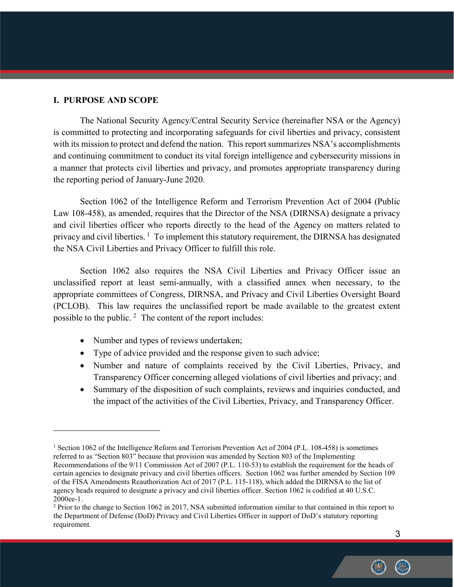## **I. PURPOSE AND SCOPE**

 $\overline{a}$ 

The National Security Agency/Central Security Service (hereinafter NSA or the Agency) is committed to protecting and incorporating safeguards for civil liberties and privacy, consistent with its mission to protect and defend the nation. This report summarizes NSA's accomplishments and continuing commitment to conduct its vital foreign intelligence and cybersecurity missions in a manner that protects civil liberties and privacy, and promotes appropriate transparency during the reporting period of January-June 2020.

Section 1062 of the Intelligence Reform and Terrorism Prevention Act of 2004 (Public Law 108-458), as amended, requires that the Director of the NSA (DIRNSA) designate a privacy and civil liberties officer who reports directly to the head of the Agency on matters related to privacy and civil liberties.  $\frac{1}{1}$  $\frac{1}{1}$  $\frac{1}{1}$  To implement this statutory requirement, the DIRNSA has designated the NSA Civil Liberties and Privacy Officer to fulfill this role.

Section 1062 also requires the NSA Civil Liberties and Privacy Officer issue an unclassified report at least semi-annually, with a classified annex when necessary, to the appropriate committees of Congress, DIRNSA, and Privacy and Civil Liberties Oversight Board (PCLOB). This law requires the unclassified report be made available to the greatest extent possible to the public. [2](#page-2-1) The content of the report includes:

- Number and types of reviews undertaken;
- Type of advice provided and the response given to such advice;
- Number and nature of complaints received by the Civil Liberties, Privacy, and Transparency Officer concerning alleged violations of civil liberties and privacy; and
- Summary of the disposition of such complaints, reviews and inquiries conducted, and the impact of the activities of the Civil Liberties, Privacy, and Transparency Officer.

<span id="page-2-0"></span><sup>&</sup>lt;sup>1</sup> Section 1062 of the Intelligence Reform and Terrorism Prevention Act of 2004 (P.L. 108-458) is sometimes referred to as "Section 803" because that provision was amended by Section 803 of the Implementing Recommendations of the 9/11 Commission Act of 2007 (P.L. 110-53) to establish the requirement for the heads of certain agencies to designate privacy and civil liberties officers. Section 1062 was further amended by Section 109 of the FISA Amendments Reauthorization Act of 2017 (P.L. 115-118), which added the DIRNSA to the list of agency heads required to designate a privacy and civil liberties officer. Section 1062 is codified at 40 U.S.C. 2000ee-1.

<span id="page-2-1"></span><sup>2</sup> Prior to the change to Section 1062 in 2017, NSA submitted information similar to that contained in this report to the Department of Defense (DoD) Privacy and Civil Liberties Officer in support of DoD's statutory reporting requirement.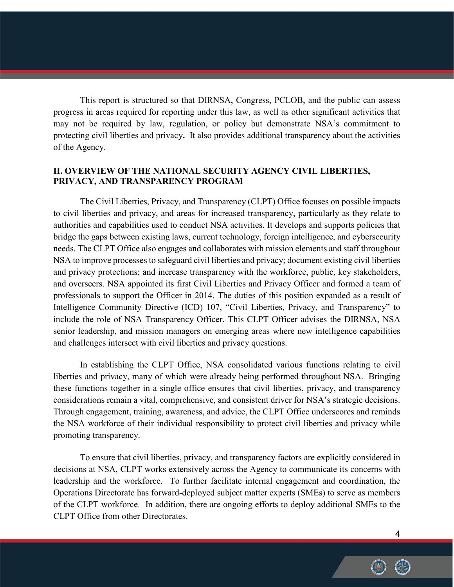This report is structured so that DIRNSA, Congress, PCLOB, and the public can assess progress in areas required for reporting under this law, as well as other significant activities that may not be required by law, regulation, or policy but demonstrate NSA's commitment to protecting civil liberties and privacy**.** It also provides additional transparency about the activities of the Agency.

# **II. OVERVIEW OF THE NATIONAL SECURITY AGENCY CIVIL LIBERTIES, PRIVACY, AND TRANSPARENCY PROGRAM**

The Civil Liberties, Privacy, and Transparency (CLPT) Office focuses on possible impacts to civil liberties and privacy, and areas for increased transparency, particularly as they relate to authorities and capabilities used to conduct NSA activities. It develops and supports policies that bridge the gaps between existing laws, current technology, foreign intelligence, and cybersecurity needs. The CLPT Office also engages and collaborates with mission elements and staff throughout NSA to improve processes to safeguard civil liberties and privacy; document existing civil liberties and privacy protections; and increase transparency with the workforce, public, key stakeholders, and overseers. NSA appointed its first Civil Liberties and Privacy Officer and formed a team of professionals to support the Officer in 2014. The duties of this position expanded as a result of Intelligence Community Directive (ICD) 107, "Civil Liberties, Privacy, and Transparency" to include the role of NSA Transparency Officer. This CLPT Officer advises the DIRNSA, NSA senior leadership, and mission managers on emerging areas where new intelligence capabilities and challenges intersect with civil liberties and privacy questions.

In establishing the CLPT Office, NSA consolidated various functions relating to civil liberties and privacy, many of which were already being performed throughout NSA. Bringing these functions together in a single office ensures that civil liberties, privacy, and transparency considerations remain a vital, comprehensive, and consistent driver for NSA's strategic decisions. Through engagement, training, awareness, and advice, the CLPT Office underscores and reminds the NSA workforce of their individual responsibility to protect civil liberties and privacy while promoting transparency.

To ensure that civil liberties, privacy, and transparency factors are explicitly considered in decisions at NSA, CLPT works extensively across the Agency to communicate its concerns with leadership and the workforce. To further facilitate internal engagement and coordination, the Operations Directorate has forward-deployed subject matter experts (SMEs) to serve as members of the CLPT workforce. In addition, there are ongoing efforts to deploy additional SMEs to the CLPT Office from other Directorates.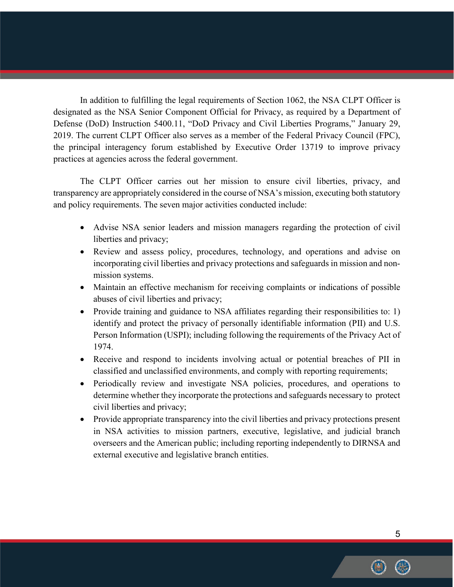In addition to fulfilling the legal requirements of Section 1062, the NSA CLPT Officer is designated as the NSA Senior Component Official for Privacy, as required by a Department of Defense (DoD) Instruction 5400.11, "DoD Privacy and Civil Liberties Programs," January 29, 2019. The current CLPT Officer also serves as a member of the Federal Privacy Council (FPC), the principal interagency forum established by Executive Order 13719 to improve privacy practices at agencies across the federal government.

The CLPT Officer carries out her mission to ensure civil liberties, privacy, and transparency are appropriately considered in the course of NSA's mission, executing both statutory and policy requirements. The seven major activities conducted include:

- Advise NSA senior leaders and mission managers regarding the protection of civil liberties and privacy;
- Review and assess policy, procedures, technology, and operations and advise on incorporating civil liberties and privacy protections and safeguards in mission and nonmission systems.
- Maintain an effective mechanism for receiving complaints or indications of possible abuses of civil liberties and privacy;
- Provide training and guidance to NSA affiliates regarding their responsibilities to: 1) identify and protect the privacy of personally identifiable information (PII) and U.S. Person Information (USPI); including following the requirements of the Privacy Act of 1974.
- Receive and respond to incidents involving actual or potential breaches of PII in classified and unclassified environments, and comply with reporting requirements;
- Periodically review and investigate NSA policies, procedures, and operations to determine whether they incorporate the protections and safeguards necessary to protect civil liberties and privacy;
- Provide appropriate transparency into the civil liberties and privacy protections present in NSA activities to mission partners, executive, legislative, and judicial branch overseers and the American public; including reporting independently to DIRNSA and external executive and legislative branch entities.

5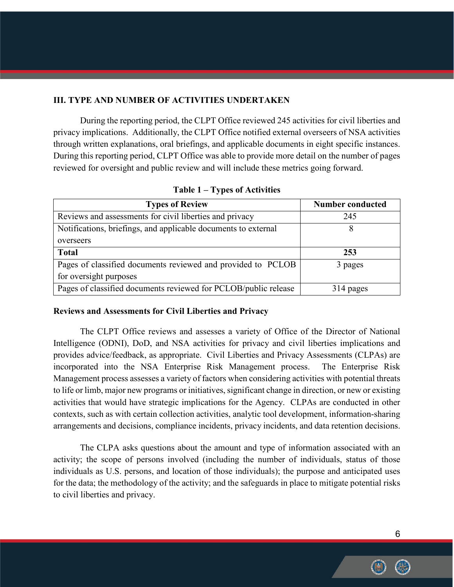# **III. TYPE AND NUMBER OF ACTIVITIES UNDERTAKEN**

During the reporting period, the CLPT Office reviewed 245 activities for civil liberties and privacy implications. Additionally, the CLPT Office notified external overseers of NSA activities through written explanations, oral briefings, and applicable documents in eight specific instances. During this reporting period, CLPT Office was able to provide more detail on the number of pages reviewed for oversight and public review and will include these metrics going forward.

| <b>Types of Review</b>                                          | Number conducted |
|-----------------------------------------------------------------|------------------|
| Reviews and assessments for civil liberties and privacy         | 245              |
| Notifications, briefings, and applicable documents to external  | 8                |
| overseers                                                       |                  |
| <b>Total</b>                                                    | 253              |
| Pages of classified documents reviewed and provided to PCLOB    | 3 pages          |
| for oversight purposes                                          |                  |
| Pages of classified documents reviewed for PCLOB/public release | 314 pages        |

**Table 1 – Types of Activities**

#### **Reviews and Assessments for Civil Liberties and Privacy**

The CLPT Office reviews and assesses a variety of Office of the Director of National Intelligence (ODNI), DoD, and NSA activities for privacy and civil liberties implications and provides advice/feedback, as appropriate. Civil Liberties and Privacy Assessments (CLPAs) are incorporated into the NSA Enterprise Risk Management process. The Enterprise Risk Management process assesses a variety of factors when considering activities with potential threats to life or limb, major new programs or initiatives, significant change in direction, or new or existing activities that would have strategic implications for the Agency. CLPAs are conducted in other contexts, such as with certain collection activities, analytic tool development, information-sharing arrangements and decisions, compliance incidents, privacy incidents, and data retention decisions.

The CLPA asks questions about the amount and type of information associated with an activity; the scope of persons involved (including the number of individuals, status of those individuals as U.S. persons, and location of those individuals); the purpose and anticipated uses for the data; the methodology of the activity; and the safeguards in place to mitigate potential risks to civil liberties and privacy.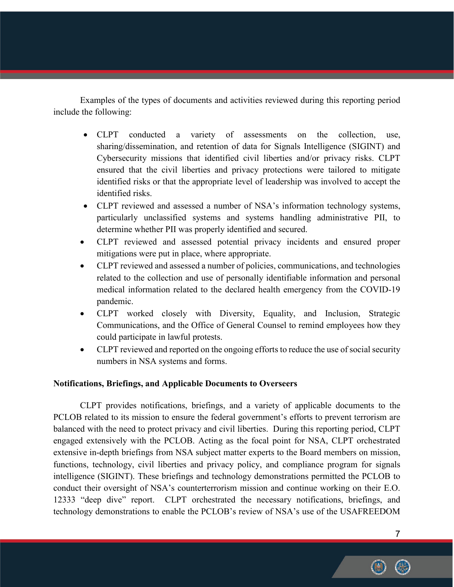Examples of the types of documents and activities reviewed during this reporting period include the following:

- CLPT conducted a variety of assessments on the collection, use, sharing/dissemination, and retention of data for Signals Intelligence (SIGINT) and Cybersecurity missions that identified civil liberties and/or privacy risks. CLPT ensured that the civil liberties and privacy protections were tailored to mitigate identified risks or that the appropriate level of leadership was involved to accept the identified risks.
- CLPT reviewed and assessed a number of NSA's information technology systems, particularly unclassified systems and systems handling administrative PII, to determine whether PII was properly identified and secured.
- CLPT reviewed and assessed potential privacy incidents and ensured proper mitigations were put in place, where appropriate.
- CLPT reviewed and assessed a number of policies, communications, and technologies related to the collection and use of personally identifiable information and personal medical information related to the declared health emergency from the COVID-19 pandemic.
- CLPT worked closely with Diversity, Equality, and Inclusion, Strategic Communications, and the Office of General Counsel to remind employees how they could participate in lawful protests.
- CLPT reviewed and reported on the ongoing efforts to reduce the use of social security numbers in NSA systems and forms.

# **Notifications, Briefings, and Applicable Documents to Overseers**

CLPT provides notifications, briefings, and a variety of applicable documents to the PCLOB related to its mission to ensure the federal government's efforts to prevent terrorism are balanced with the need to protect privacy and civil liberties. During this reporting period, CLPT engaged extensively with the PCLOB. Acting as the focal point for NSA, CLPT orchestrated extensive in-depth briefings from NSA subject matter experts to the Board members on mission, functions, technology, civil liberties and privacy policy, and compliance program for signals intelligence (SIGINT). These briefings and technology demonstrations permitted the PCLOB to conduct their oversight of NSA's counterterrorism mission and continue working on their E.O. 12333 "deep dive" report. CLPT orchestrated the necessary notifications, briefings, and technology demonstrations to enable the PCLOB's review of NSA's use of the USAFREEDOM

7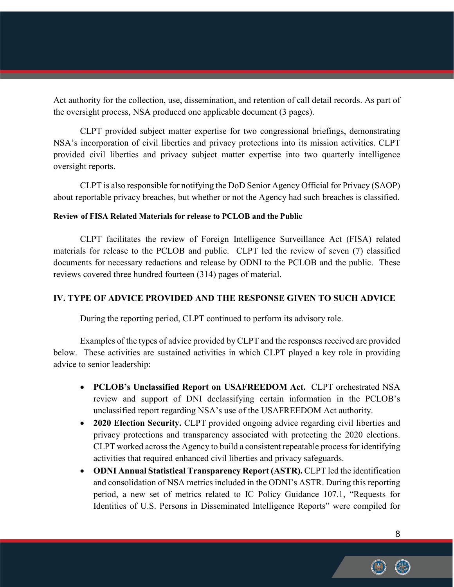Act authority for the collection, use, dissemination, and retention of call detail records. As part of the oversight process, NSA produced one applicable document (3 pages).

CLPT provided subject matter expertise for two congressional briefings, demonstrating NSA's incorporation of civil liberties and privacy protections into its mission activities. CLPT provided civil liberties and privacy subject matter expertise into two quarterly intelligence oversight reports.

CLPT is also responsible for notifying the DoD Senior Agency Official for Privacy (SAOP) about reportable privacy breaches, but whether or not the Agency had such breaches is classified.

### **Review of FISA Related Materials for release to PCLOB and the Public**

CLPT facilitates the review of Foreign Intelligence Surveillance Act (FISA) related materials for release to the PCLOB and public. CLPT led the review of seven (7) classified documents for necessary redactions and release by ODNI to the PCLOB and the public. These reviews covered three hundred fourteen (314) pages of material.

# **IV. TYPE OF ADVICE PROVIDED AND THE RESPONSE GIVEN TO SUCH ADVICE**

During the reporting period, CLPT continued to perform its advisory role.

Examples of the types of advice provided by CLPT and the responses received are provided below. These activities are sustained activities in which CLPT played a key role in providing advice to senior leadership:

- **PCLOB's Unclassified Report on USAFREEDOM Act.** CLPT orchestrated NSA review and support of DNI declassifying certain information in the PCLOB's unclassified report regarding NSA's use of the USAFREEDOM Act authority.
- **2020 Election Security.** CLPT provided ongoing advice regarding civil liberties and privacy protections and transparency associated with protecting the 2020 elections. CLPT worked across the Agency to build a consistent repeatable process for identifying activities that required enhanced civil liberties and privacy safeguards.
- **ODNI Annual Statistical Transparency Report (ASTR).** CLPT led the identification and consolidation of NSA metrics included in the ODNI's ASTR. During this reporting period, a new set of metrics related to IC Policy Guidance 107.1, "Requests for Identities of U.S. Persons in Disseminated Intelligence Reports" were compiled for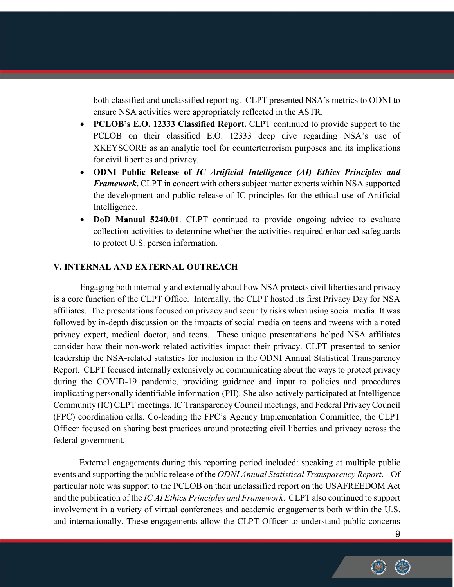both classified and unclassified reporting. CLPT presented NSA's metrics to ODNI to ensure NSA activities were appropriately reflected in the ASTR.

- **PCLOB's E.O. 12333 Classified Report.** CLPT continued to provide support to the PCLOB on their classified E.O. 12333 deep dive regarding NSA's use of XKEYSCORE as an analytic tool for counterterrorism purposes and its implications for civil liberties and privacy.
- **ODNI Public Release of** *IC Artificial Intelligence (AI) Ethics Principles and Framework***.** CLPT in concert with others subject matter experts within NSA supported the development and public release of IC principles for the ethical use of Artificial Intelligence.
- **DoD Manual 5240.01**. CLPT continued to provide ongoing advice to evaluate collection activities to determine whether the activities required enhanced safeguards to protect U.S. person information.

### **V. INTERNAL AND EXTERNAL OUTREACH**

Engaging both internally and externally about how NSA protects civil liberties and privacy is a core function of the CLPT Office. Internally, the CLPT hosted its first Privacy Day for NSA affiliates. The presentations focused on privacy and security risks when using social media. It was followed by in-depth discussion on the impacts of social media on teens and tweens with a noted privacy expert, medical doctor, and teens. These unique presentations helped NSA affiliates consider how their non-work related activities impact their privacy. CLPT presented to senior leadership the NSA-related statistics for inclusion in the ODNI Annual Statistical Transparency Report. CLPT focused internally extensively on communicating about the ways to protect privacy during the COVID-19 pandemic, providing guidance and input to policies and procedures implicating personally identifiable information (PII). She also actively participated at Intelligence Community (IC) CLPT meetings, IC Transparency Council meetings, and Federal Privacy Council (FPC) coordination calls. Co-leading the FPC's Agency Implementation Committee, the CLPT Officer focused on sharing best practices around protecting civil liberties and privacy across the federal government.

External engagements during this reporting period included: speaking at multiple public events and supporting the public release of the *ODNI Annual Statistical Transparency Report*. Of particular note was support to the PCLOB on their unclassified report on the USAFREEDOM Act and the publication of the *IC AI Ethics Principles and Framework*. CLPT also continued to support involvement in a variety of virtual conferences and academic engagements both within the U.S. and internationally. These engagements allow the CLPT Officer to understand public concerns

9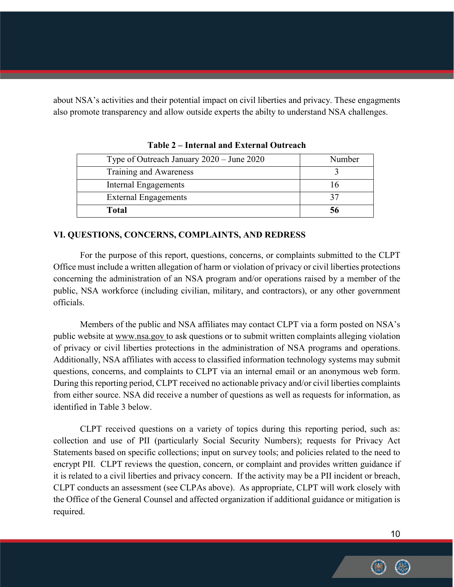about NSA's activities and their potential impact on civil liberties and privacy. These engagments also promote transparency and allow outside experts the abilty to understand NSA challenges.

| Type of Outreach January 2020 – June 2020 | Number |
|-------------------------------------------|--------|
| Training and Awareness                    |        |
| Internal Engagements                      |        |
| <b>External Engagements</b>               |        |
| <b>Total</b>                              |        |

**Table 2 – Internal and External Outreach**

## **VI. QUESTIONS, CONCERNS, COMPLAINTS, AND REDRESS**

For the purpose of this report, questions, concerns, or complaints submitted to the CLPT Office must include a written allegation of harm or violation of privacy or civil liberties protections concerning the administration of an NSA program and/or operations raised by a member of the public, NSA workforce (including civilian, military, and contractors), or any other government officials.

Members of the public and NSA affiliates may contact CLPT via a form posted on NSA's public website at [www.nsa.gov](http://www.nsa.gov/) to ask questions or to submit written complaints alleging violation of privacy or civil liberties protections in the administration of NSA programs and operations. Additionally, NSA affiliates with access to classified information technology systems may submit questions, concerns, and complaints to CLPT via an internal email or an anonymous web form. During this reporting period, CLPT received no actionable privacy and/or civil liberties complaints from either source. NSA did receive a number of questions as well as requests for information, as identified in Table 3 below.

CLPT received questions on a variety of topics during this reporting period, such as: collection and use of PII (particularly Social Security Numbers); requests for Privacy Act Statements based on specific collections; input on survey tools; and policies related to the need to encrypt PII. CLPT reviews the question, concern, or complaint and provides written guidance if it is related to a civil liberties and privacy concern. If the activity may be a PII incident or breach, CLPT conducts an assessment (see CLPAs above). As appropriate, CLPT will work closely with the Office of the General Counsel and affected organization if additional guidance or mitigation is required.